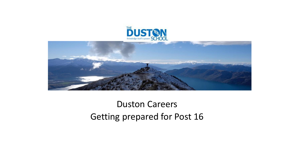



#### Duston Careers Getting prepared for Post 16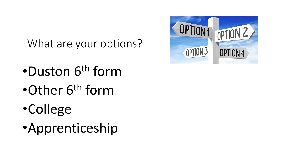What are your options?

- •Duston 6<sup>th</sup> form
- •Other 6<sup>th</sup> form
- •College
- •Apprenticeship

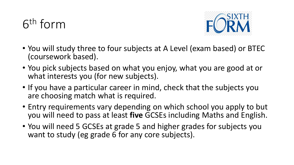# 6 th form



- You will study three to four subjects at A Level (exam based) or BTEC (coursework based).
- You pick subjects based on what you enjoy, what you are good at or what interests you (for new subjects).
- If you have a particular career in mind, check that the subjects you are choosing match what is required.
- Entry requirements vary depending on which school you apply to but you will need to pass at least **five** GCSEs including Maths and English.
- You will need 5 GCSEs at grade 5 and higher grades for subjects you want to study (eg grade 6 for any core subjects).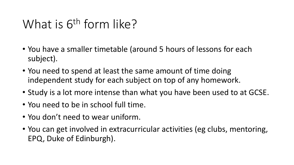### What is 6<sup>th</sup> form like?

- You have a smaller timetable (around 5 hours of lessons for each subject).
- You need to spend at least the same amount of time doing independent study for each subject on top of any homework.
- Study is a lot more intense than what you have been used to at GCSE.
- You need to be in school full time.
- You don't need to wear uniform.
- You can get involved in extracurricular activities (eg clubs, mentoring, EPQ, Duke of Edinburgh).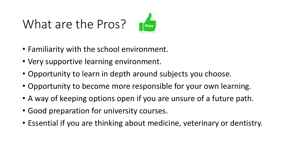# What are the Pros?



- Familiarity with the school environment.
- Very supportive learning environment.
- Opportunity to learn in depth around subjects you choose.
- Opportunity to become more responsible for your own learning.
- A way of keeping options open if you are unsure of a future path.
- Good preparation for university courses.
- Essential if you are thinking about medicine, veterinary or dentistry.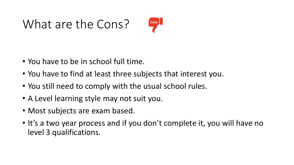### What are the Cons?



- You have to be in school full time.
- You have to find at least three subjects that interest you.
- You still need to comply with the usual school rules.
- A Level learning style may not suit you.
- Most subjects are exam based.
- It's a two year process and if you don't complete it, you will have no level 3 qualifications.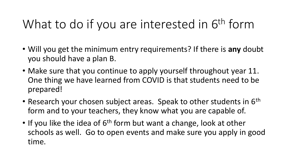# What to do if you are interested in 6<sup>th</sup> form

- Will you get the minimum entry requirements? If there is **any** doubt you should have a plan B.
- Make sure that you continue to apply yourself throughout year 11. One thing we have learned from COVID is that students need to be prepared!
- Research your chosen subject areas. Speak to other students in  $6<sup>th</sup>$ form and to your teachers, they know what you are capable of.
- If you like the idea of  $6<sup>th</sup>$  form but want a change, look at other schools as well. Go to open events and make sure you apply in good time.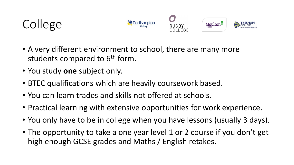



- A very different environment to school, there are many more students compared to 6<sup>th</sup> form.
- You study **one** subject only.
- BTEC qualifications which are heavily coursework based.
- You can learn trades and skills not offered at schools.
- Practical learning with extensive opportunities for work experience.
- You only have to be in college when you have lessons (usually 3 days).
- The opportunity to take a one year level 1 or 2 course if you don't get high enough GCSE grades and Maths / English retakes.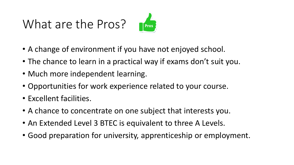# What are the Pros?



- A change of environment if you have not enjoyed school.
- The chance to learn in a practical way if exams don't suit you.
- Much more independent learning.
- Opportunities for work experience related to your course.
- Excellent facilities.
- A chance to concentrate on one subject that interests you.
- An Extended Level 3 BTEC is equivalent to three A Levels.
- Good preparation for university, apprenticeship or employment.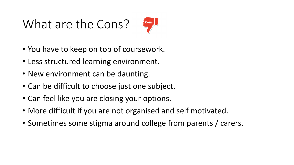# What are the Cons?



- You have to keep on top of coursework.
- Less structured learning environment.
- New environment can be daunting.
- Can be difficult to choose just one subject.
- Can feel like you are closing your options.
- More difficult if you are not organised and self motivated.
- Sometimes some stigma around college from parents / carers.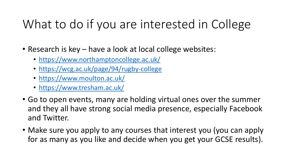# What to do if you are interested in College

- Research is key have a look at local college websites:
	- <https://www.northamptoncollege.ac.uk/>
	- <https://wcg.ac.uk/page/94/rugby-college>
	- <https://www.moulton.ac.uk/>
	- <https://www.tresham.ac.uk/>
- Go to open events, many are holding virtual ones over the summer and they all have strong social media presence, especially Facebook and Twitter.
- Make sure you apply to any courses that interest you (you can apply for as many as you like and decide when you get your GCSE results).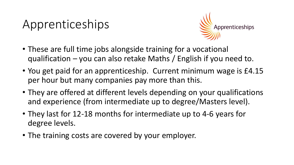### Apprenticeships



- These are full time jobs alongside training for a vocational qualification – you can also retake Maths / English if you need to.
- You get paid for an apprenticeship. Current minimum wage is £4.15 per hour but many companies pay more than this.
- They are offered at different levels depending on your qualifications and experience (from intermediate up to degree/Masters level).
- They last for 12-18 months for intermediate up to 4-6 years for degree levels.
- The training costs are covered by your employer.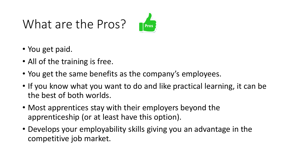# What are the Pros?



- You get paid.
- All of the training is free.
- You get the same benefits as the company's employees.
- If you know what you want to do and like practical learning, it can be the best of both worlds.
- Most apprentices stay with their employers beyond the apprenticeship (or at least have this option).
- Develops your employability skills giving you an advantage in the competitive job market.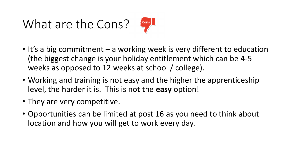# What are the Cons?



- It's a big commitment a working week is very different to education (the biggest change is your holiday entitlement which can be 4-5 weeks as opposed to 12 weeks at school / college).
- Working and training is not easy and the higher the apprenticeship level, the harder it is. This is not the **easy** option!
- They are very competitive.
- Opportunities can be limited at post 16 as you need to think about location and how you will get to work every day.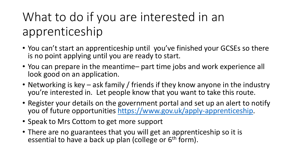# What to do if you are interested in an apprenticeship

- You can't start an apprenticeship until you've finished your GCSEs so there is no point applying until you are ready to start.
- You can prepare in the meantime– part time jobs and work experience all look good on an application.
- Networking is key ask family / friends if they know anyone in the industry you're interested in. Let people know that you want to take this route.
- Register your details on the government portal and set up an alert to notify you of future opportunities [https://www.gov.uk/apply-apprenticeship.](https://www.gov.uk/apply-apprenticeship)
- Speak to Mrs Cottom to get more support
- There are no guarantees that you will get an apprenticeship so it is essential to have a back up plan (college or 6<sup>th</sup> form).